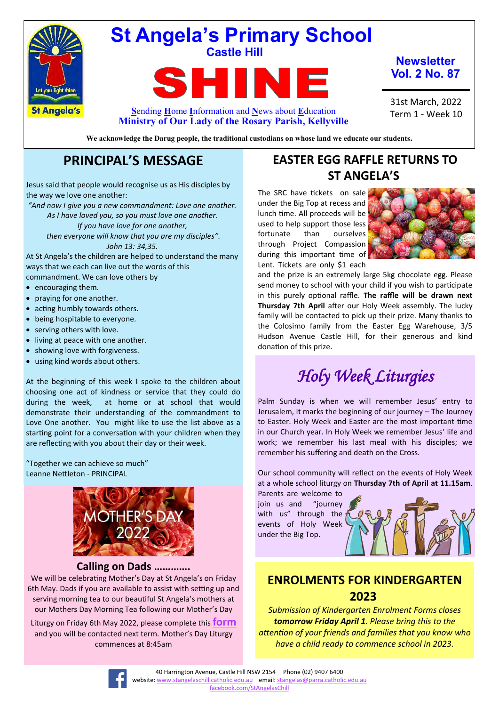

# **St Angela's Primary School Castle Hill**

EШ **TIME S**ending **H**ome **I**nformation and **N**ews about **E**ducation

**Newsletter Vol. 2 No. 87**

31st March, 2022 Term 1 - Week 10

**We acknowledge the Darug people, the traditional custodians on whose land we educate our students.**

**Ministry of Our Lady of the Rosary Parish, Kellyville**

# **PRINCIPAL'S MESSAGE**

Jesus said that people would recognise us as His disciples by the way we love one another:

*"And now I give you a new commandment: Love one another. As I have loved you, so you must love one another. If you have love for one another, then everyone will know that you are my disciples". John 13: 34,35.*

At St Angela's the children are helped to understand the many ways that we each can live out the words of this commandment. We can love others by

- encouraging them.
- praying for one another.
- acting humbly towards others.
- being hospitable to everyone.
- serving others with love.
- living at peace with one another.
- showing love with forgiveness.
- using kind words about others.

At the beginning of this week I spoke to the children about choosing one act of kindness or service that they could do during the week, at home or at school that would demonstrate their understanding of the commandment to Love One another. You might like to use the list above as a starting point for a conversation with your children when they are reflecting with you about their day or their week.

"Together we can achieve so much" Leanne Nettleton - PRINCIPAL



#### **Calling on Dads ………….**

We will be celebrating Mother's Day at St Angela's on Friday 6th May. Dads if you are available to assist with setting up and serving morning tea to our beautiful St Angela's mothers at our Mothers Day Morning Tea following our Mother's Day

Liturgy on Friday 6th May 2022, please complete this **[form](https://docs.google.com/forms/d/e/1FAIpQLSccn7JoRbnSV4Wpo6PdpeB6_cGbmmY5x3kzkGH12BkBzUE4TA/viewform)** and you will be contacted next term. Mother's Day Liturgy commences at 8:45am

# **EASTER EGG RAFFLE RETURNS TO ST ANGELA'S**

The SRC have tickets on sale under the Big Top at recess and lunch time. All proceeds will be used to help support those less fortunate than ourselves through Project Compassion during this important time of Lent. Tickets are only \$1 each



and the prize is an extremely large 5kg chocolate egg. Please send money to school with your child if you wish to participate in this purely optional raffle. **The raffle will be drawn next Thursday 7th April** after our Holy Week assembly. The lucky family will be contacted to pick up their prize. Many thanks to the Colosimo family from the Easter Egg Warehouse, 3/5 Hudson Avenue Castle Hill, for their generous and kind donation of this prize.

# *Holy Week Liturgies*

Palm Sunday is when we will remember Jesus' entry to Jerusalem, it marks the beginning of our journey – The Journey to Easter. Holy Week and Easter are the most important time in our Church year. In Holy Week we remember Jesus' life and work; we remember his last meal with his disciples; we remember his suffering and death on the Cross.

Our school community will reflect on the events of Holy Week at a whole school liturgy on **Thursday 7th of April at 11.15am**.

Parents are welcome to join us and "journey with us" through the events of Holy Week under the Big Top.



## **ENROLMENTS FOR KINDERGARTEN 2023**

*Submission of Kindergarten Enrolment Forms closes tomorrow Friday April 1. Please bring this to the attention of your friends and families that you know who have a child ready to commence school in 2023.* 

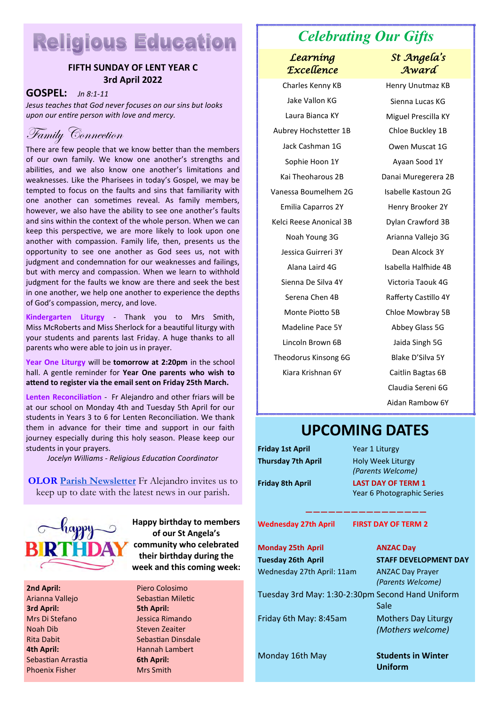# **Religious Education**

#### **FIFTH SUNDAY OF LENT YEAR C 3rd April 2022**

**GOSPEL:** *Jn 8:1-11* 

*Jesus teaches that God never focuses on our sins but looks upon our entire person with love and mercy.*



There are few people that we know better than the members of our own family. We know one another's strengths and abilities, and we also know one another's limitations and weaknesses. Like the Pharisees in today's Gospel, we may be tempted to focus on the faults and sins that familiarity with one another can sometimes reveal. As family members, however, we also have the ability to see one another's faults and sins within the context of the whole person. When we can keep this perspective, we are more likely to look upon one another with compassion. Family life, then, presents us the opportunity to see one another as God sees us, not with judgment and condemnation for our weaknesses and failings, but with mercy and compassion. When we learn to withhold judgment for the faults we know are there and seek the best in one another, we help one another to experience the depths of God's compassion, mercy, and love.

**Kindergarten Liturgy** - Thank you to Mrs Smith, Miss McRoberts and Miss Sherlock for a beautiful liturgy with your students and parents last Friday. A huge thanks to all parents who were able to join us in prayer.

**Year One Liturgy** will be **tomorrow at 2:20pm** in the school hall. A gentle reminder for **Year One parents who wish to attend to register via the email sent on Friday 25th March.**

**Lenten Reconciliation** - Fr Alejandro and other friars will be at our school on Monday 4th and Tuesday 5th April for our students in Years 3 to 6 for Lenten Reconciliation. We thank them in advance for their time and support in our faith journey especially during this holy season. Please keep our students in your prayers.

*Jocelyn Williams - Religious Education Coordinator*

**OLOR [Parish Newsletter](https://olorparishkellyville.org.au/wp-content/uploads/2022/02/20-February-2022-with-links.pdf)** Fr Alejandro invites us to keep up to date with the latest news in our parish.



**2nd April:** Arianna Vallejo **3rd April:**  Mrs Di Stefano Noah Dib Rita Dabit **4th April:** Sebastian Arrastia Phoenix Fisher

**Happy birthday to members of our St Angela's community who celebrated their birthday during the week and this coming week:**

Piero Colosimo Sebastian Miletic **5th April:** Jessica Rimando Steven Zeaiter Sebastian Dinsdale Hannah Lambert **6th April:** Mrs Smith

# *Celebrating Our Gifts*

#### *Learning Excellence*

Jake Vallon KG Sienna Lucas KG Laura Bianca KY Miguel Prescilla KY Aubrey Hochstetter 1B Chloe Buckley 1B Jack Cashman 1G Owen Muscat 1G Sophie Hoon 1Y Ayaan Sood 1Y Kai Theoharous 2B Danai Muregerera 2B Vanessa Boumelhem 2G Isabelle Kastoun 2G Emilia Caparros 2Y Henry Brooker 2Y Kelci Reese Anonical 3B Dylan Crawford 3B Noah Young 3G Arianna Vallejo 3G Jessica Guirreri 3Y Dean Alcock 3Y Sienna De Silva 4Y Victoria Taouk 4G Serena Chen 4B Rafferty Castillo 4Y Monte Piotto 5B Chloe Mowbray 5B Madeline Pace 5Y Abbey Glass 5G Lincoln Brown 6B Jaida Singh 5G Theodorus Kinsong 6G Blake D'Silva 5Y

#### *St Angela's Award*

Charles Kenny KB Henry Unutmaz KB Alana Laird 4G Isabella Halfhide 4B Kiara Krishnan 6Y Caitlin Bagtas 6B Claudia Sereni 6G Aidan Rambow 6Y

# **UPCOMING DATES**

**Friday 1st April** Year 1 Liturgy **Thursday 7th April** Holy Week Liturgy

*(Parents Welcome)* **Friday 8th April LAST DAY OF TERM 1**

**Wednesday 27th April FIRST DAY OF TERM 2** 

**Monday 25th April ANZAC Day Tuesday 26th April STAFF DEVELOPMENT DAY** Wednesday 27th April: 11am ANZAC Day Prayer Tuesday 3rd May: 1:30-2:30pm Second Hand Uniform

Friday 6th May: 8:45am Mothers Day Liturgy

Year 6 Photographic Series **————————————————**

*(Parents Welcome)*

Sale *(Mothers welcome)*

Monday 16th May **Students in Winter Uniform**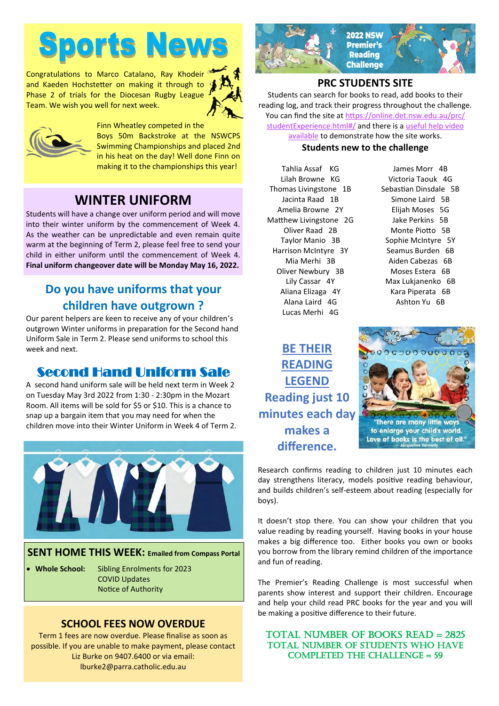# **Sports News**

Congratulations to Marco Catalano, Ray Khodeir<sup>ed</sup> and Kaeden Hochstetter on making it through to Phase 2 of trials for the Diocesan Rugby League Team. We wish you well for next week.





Finn Wheatley competed in the Boys 50m Backstroke at the NSWCPS Swimming Championships and placed 2nd in his heat on the day! Well done Finn on making it to the championships this year!

# **WINTER UNIFORM**

Students will have a change over uniform period and will move into their winter uniform by the commencement of Week 4. As the weather can be unpredictable and even remain quite warm at the beginning of Term 2, please feel free to send your child in either uniform until the commencement of Week 4. **Final uniform changeover date will be Monday May 16, 2022.**

# **Do you have uniforms that your children have outgrown ?**

Our parent helpers are keen to receive any of your children's outgrown Winter uniforms in preparation for the Second hand Uniform Sale in Term 2. Please send uniforms to school this week and next.

# Second Hand Uniform Sale

A second hand uniform sale will be held next term in Week 2 on Tuesday May 3rd 2022 from 1:30 - 2:30pm in the Mozart Room. All items will be sold for \$5 or \$10. This is a chance to snap up a bargain item that you may need for when the children move into their Winter Uniform in Week 4 of Term 2.



**SENT HOME THIS WEEK: Emailed from Compass Portal**

• **Whole School:** Sibling Enrolments for 2023 COVID Updates Notice of Authority

#### **SCHOOL FEES NOW OVERDUE**

Term 1 fees are now overdue. Please finalise as soon as possible. If you are unable to make payment, please contact Liz Burke on 9407.6400 or via email: lburke2@parra.catholic.edu.au



#### **PRC STUDENTS SITE**

Students can search for books to read, add books to their reading log, and track their progress throughout the challenge. You can find the site at [https://online.det.nsw.edu.au/prc/](https://online.det.nsw.edu.au/prc/studentExperience.html#/) [studentExperience.html#/](https://online.det.nsw.edu.au/prc/studentExperience.html#/) and there is a [useful help video](https://vimeo.com/267736577)  [available](https://vimeo.com/267736577) to demonstrate how the site works.

#### **Students new to the challenge**

Tahlia Assaf KG Lilah Browne KG Thomas Livingstone 1B Jacinta Raad 1B Amelia Browne 2Y Matthew Livingstone 2G Oliver Raad 2B Taylor Manio 3B Harrison McIntyre 3Y Mia Merhi 3B Oliver Newbury 3B Lily Cassar 4Y Aliana Elizaga 4Y Alana Laird 4G Lucas Merhi 4G

James Morr 4B Victoria Taouk 4G Sebastian Dinsdale 5B Simone Laird 5B Elijah Moses 5G Jake Perkins 5B Monte Piotto 5B Sophie McIntyre 5Y Seamus Burden 6B Aiden Cabezas 6B Moses Estera 6B Max Lukjanenko 6B Kara Piperata 6B Ashton Yu 6B

**BE THEIR READING LEGEND Reading just 10 minutes each day makes a difference.**



Research confirms reading to children just 10 minutes each day strengthens literacy, models positive reading behaviour, and builds children's self-esteem about reading (especially for boys).

It doesn't stop there. You can show your children that you value reading by reading yourself. Having books in your house makes a big difference too. Either books you own or books you borrow from the library remind children of the importance and fun of reading.

The Premier's Reading Challenge is most successful when parents show interest and support their children. Encourage and help your child read PRC books for the year and you will be making a positive difference to their future.

#### TOTAL NUMBER OF BOOKS READ = 2825 TOTAL NUMBER OF STUDENTS WHO HAVE completed the challenge = 59